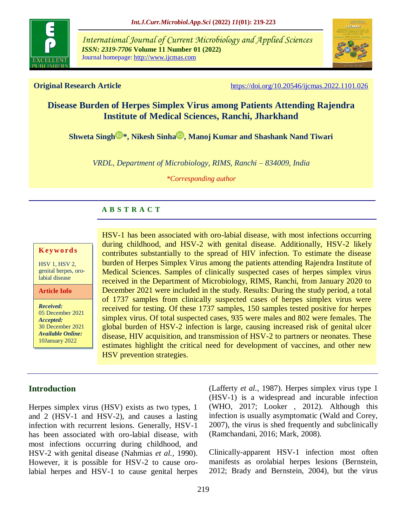

*International Journal of Current Microbiology and Applied Sciences ISSN: 2319-7706* **Volume 11 Number 01 (2022)**  Journal homepage: http://www.ijcmas.com



**Original Research Article** <https://doi.org/10.20546/ijcmas.2022.1101.026>

# **Disease Burden of Herpes Simplex Virus among Patients Attending Rajendra Institute of Medical Sciences, Ranchi, Jharkhand**

**[Shweta Singh](https://orcid.org/0000-0001-8100-3761) [\\*](https://orcid.org/0000-0001-8100-3761), [Nikesh Sinha](https://orcid.org/0000-0002-7874-2552) , Manoj Kumar and Shashank Nand Tiwari**

*VRDL, Department of Microbiology, RIMS, Ranchi – 834009, India*

*\*Corresponding author*

# **A B S T R A C T**

### **K ey w o rd s**

HSV 1, HSV 2, genital herpes, orolabial disease

**Article Info**

*Received:*  05 December 2021 *Accepted:*  30 December 2021 *Available Online:* 10January 2022

HSV-1 has been associated with oro-labial disease, with most infections occurring during childhood, and HSV-2 with genital disease. Additionally, HSV-2 likely contributes substantially to the spread of HIV infection. To estimate the disease burden of Herpes Simplex Virus among the patients attending Rajendra Institute of Medical Sciences. Samples of clinically suspected cases of herpes simplex virus received in the Department of Microbiology, RIMS, Ranchi, from January 2020 to December 2021 were included in the study. Results: During the study period, a total of 1737 samples from clinically suspected cases of herpes simplex virus were received for testing. Of these 1737 samples, 150 samples tested positive for herpes simplex virus. Of total suspected cases, 935 were males and 802 were females. The global burden of HSV-2 infection is large, causing increased risk of genital ulcer disease, HIV acquisition, and transmission of HSV-2 to partners or neonates. These estimates highlight the critical need for development of vaccines, and other new HSV prevention strategies.

# **Introduction**

Herpes simplex virus (HSV) exists as two types, 1 and 2 (HSV-1 and HSV-2), and causes a lasting infection with recurrent lesions. Generally, HSV-1 has been associated with oro-labial disease, with most infections occurring during childhood, and HSV-2 with genital disease (Nahmias *et al.,* 1990). However, it is possible for HSV-2 to cause orolabial herpes and HSV-1 to cause genital herpes (Lafferty *et al.,* 1987). Herpes simplex virus type 1 (HSV-1) is a widespread and incurable infection (WHO, 2017; Looker , 2012). Although this infection is usually asymptomatic (Wald and Corey, 2007), the virus is shed frequently and subclinically (Ramchandani, 2016; Mark, 2008).

Clinically-apparent HSV-1 infection most often manifests as orolabial herpes lesions (Bernstein, 2012; Brady and Bernstein, 2004), but the virus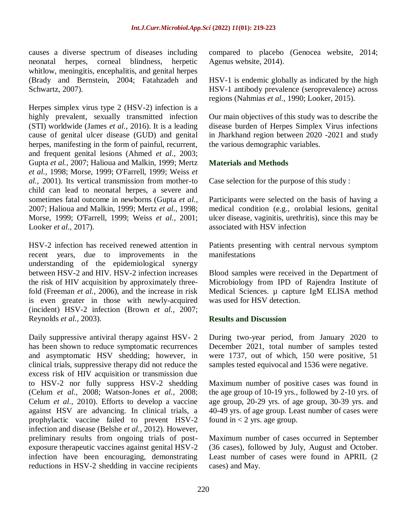causes a diverse spectrum of diseases including neonatal herpes, corneal blindness, herpetic whitlow, meningitis, encephalitis, and genital herpes (Brady and Bernstein, 2004; Fatahzadeh and Schwartz, 2007).

Herpes simplex virus type 2 (HSV-2) infection is a highly prevalent, sexually transmitted infection (STI) worldwide (James *et al.,* 2016). It is a leading cause of genital ulcer disease (GUD) and genital herpes, manifesting in the form of painful, recurrent, and frequent genital lesions (Ahmed *et al.,* 2003; Gupta *et al.,* 2007; Halioua and Malkin, 1999; Mertz *et al.,* 1998; Morse, 1999; O'Farrell, 1999; Weiss *et al.,* 2001). Its vertical transmission from mother-to child can lead to neonatal herpes, a severe and sometimes fatal outcome in newborns (Gupta *et al.,* 2007; Halioua and Malkin, 1999; Mertz *et al.,* 1998; Morse, 1999; O'Farrell, 1999; Weiss *et al.,* 2001; Looker *et al.,* 2017).

HSV-2 infection has received renewed attention in recent years, due to improvements in the understanding of the epidemiological synergy between HSV-2 and HIV. HSV-2 infection increases the risk of HIV acquisition by approximately threefold (Freeman *et al.,* 2006), and the increase in risk is even greater in those with newly-acquired (incident) HSV-2 infection (Brown *et al.,* 2007; Reynolds *et al.,* 2003).

Daily suppressive antiviral therapy against HSV- 2 has been shown to reduce symptomatic recurrences and asymptomatic HSV shedding; however, in clinical trials, suppressive therapy did not reduce the excess risk of HIV acquisition or transmission due to HSV-2 nor fully suppress HSV-2 shedding (Celum *et al.,* 2008; Watson-Jones *et al.,* 2008; Celum *et al.,* 2010). Efforts to develop a vaccine against HSV are advancing. In clinical trials, a prophylactic vaccine failed to prevent HSV-2 infection and disease (Belshe *et al.,* 2012). However, preliminary results from ongoing trials of postexposure therapeutic vaccines against genital HSV-2 infection have been encouraging, demonstrating reductions in HSV-2 shedding in vaccine recipients

compared to placebo (Genocea website, 2014; Agenus website, 2014).

HSV-1 is endemic globally as indicated by the high HSV-1 antibody prevalence (seroprevalence) across regions (Nahmias *et al.,* 1990; Looker, 2015).

Our main objectives of this study was to describe the disease burden of Herpes Simplex Virus infections in Jharkhand region between 2020 -2021 and study the various demographic variables.

# **Materials and Methods**

Case selection for the purpose of this study :

Participants were selected on the basis of having a medical condition (e.g., orolabial lesions, genital ulcer disease, vaginitis, urethritis), since this may be associated with HSV infection

Patients presenting with central nervous symptom manifestations

Blood samples were received in the Department of Microbiology from IPD of Rajendra Institute of Medical Sciences. µ capture IgM ELISA method was used for HSV detection.

# **Results and Discussion**

During two-year period, from January 2020 to December 2021, total number of samples tested were 1737, out of which, 150 were positive, 51 samples tested equivocal and 1536 were negative.

Maximum number of positive cases was found in the age group of 10-19 yrs., followed by 2-10 yrs. of age group, 20-29 yrs. of age group, 30-39 yrs. and 40-49 yrs. of age group. Least number of cases were found in  $<$  2 yrs. age group.

Maximum number of cases occurred in September (36 cases), followed by July, August and October. Least number of cases were found in APRIL (2 cases) and May.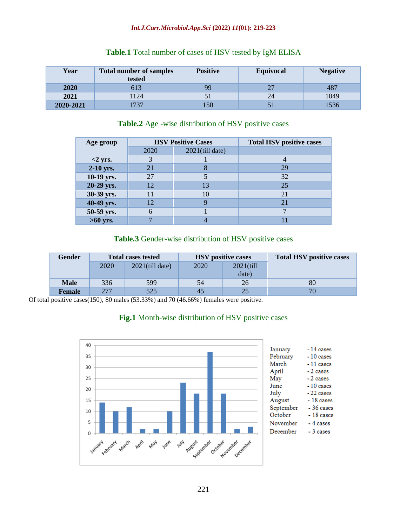### *Int.J.Curr.Microbiol.App.Sci* **(2022)** *11***(01): 219-223**

| Year      | <b>Total number of samples</b><br>tested | <b>Positive</b> | Equivocal | <b>Negative</b> |
|-----------|------------------------------------------|-----------------|-----------|-----------------|
| 2020      | 513                                      | 99              |           | 487             |
| 2021      | 124                                      | 51              | 24        | 1049            |
| 2020-2021 | 737                                      | .50             |           | 536             |

# **Table.1** Total number of cases of HSV tested by IgM ELISA

# **Table.2** Age -wise distribution of HSV positive cases

| Age group  |      | <b>HSV Positive Cases</b> | <b>Total HSV positive cases</b> |  |
|------------|------|---------------------------|---------------------------------|--|
|            | 2020 | $2021$ (till date)        |                                 |  |
| $<$ 2 yrs. |      |                           |                                 |  |
| 2-10 yrs.  | 21   |                           | 29                              |  |
| 10-19 yrs. | 27   |                           | 32                              |  |
| 20-29 yrs. | 12   | 13                        | 25                              |  |
| 30-39 yrs. | 11   | 10                        | 21                              |  |
| 40-49 yrs. | 12   |                           | 21                              |  |
| 50-59 yrs. |      |                           |                                 |  |
| $>60$ yrs. |      |                           |                                 |  |

# **Table.3** Gender-wise distribution of HSV positive cases

| Gender        | <b>Total cases tested</b> |                    | <b>HSV</b> positive cases |              | <b>Total HSV positive cases</b> |
|---------------|---------------------------|--------------------|---------------------------|--------------|---------------------------------|
|               | 2020                      | $2021$ (till date) | 2020                      | $2021$ (till |                                 |
|               |                           |                    |                           | date)        |                                 |
| <b>Male</b>   | 336                       | 599                | 54                        | 26           | 80                              |
| <b>Female</b> | 277                       | 525                | 45                        | 25           |                                 |

Of total positive cases(150), 80 males (53.33%) and 70 (46.66%) females were positive.

# **Fig.1** Month-wise distribution of HSV positive cases

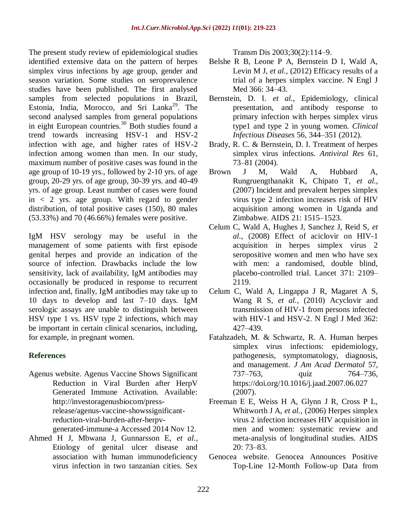The present study review of epidemiological studies identified extensive data on the pattern of herpes simplex virus infections by age group, gender and season variation. Some studies on seroprevalence studies have been published. The first analysed samples from selected populations in Brazil, Estonia, India, Morocco, and Sri Lanka<sup>29</sup>. The second analysed samples from general populations in eight European countries.<sup>30</sup> Both studies found a trend towards increasing HSV-1 and HSV-2 infection with age, and higher rates of HSV-2 infection among women than men. In our study, maximum number of positive cases was found in the age group of 10-19 yrs., followed by 2-10 yrs. of age group, 20-29 yrs. of age group, 30-39 yrs. and 40-49 yrs. of age group. Least number of cases were found in < 2 yrs. age group. With regard to gender distribution, of total positive cases (150), 80 males (53.33%) and 70 (46.66%) females were positive.

IgM HSV serology may be useful in the management of some patients with first episode genital herpes and provide an indication of the source of infection. Drawbacks include the low sensitivity, lack of availability, IgM antibodies may occasionally be produced in response to recurrent infection and, finally, IgM antibodies may take up to 10 days to develop and last 7–10 days. IgM serologic assays are unable to distinguish between HSV type 1 vs. HSV type 2 infections, which may be important in certain clinical scenarios, including, for example, in pregnant women.

# **References**

Agenus website. Agenus Vaccine Shows Significant Reduction in Viral Burden after HerpV Generated Immune Activation. Available: [http://investoragenusbiocom/press](http://investoragenusbiocom/press-release/agenus-vaccine-showssignificant-reduction-viral-burden-after-herpv-generated-immune-a%20Accessed%202014%20Nov%2012.)[release/agenus-vaccine-showssignificant](http://investoragenusbiocom/press-release/agenus-vaccine-showssignificant-reduction-viral-burden-after-herpv-generated-immune-a%20Accessed%202014%20Nov%2012.)[reduction-viral-burden-after-herpv-](http://investoragenusbiocom/press-release/agenus-vaccine-showssignificant-reduction-viral-burden-after-herpv-generated-immune-a%20Accessed%202014%20Nov%2012.)

[generated-immune-a Accessed 2014 Nov 12.](http://investoragenusbiocom/press-release/agenus-vaccine-showssignificant-reduction-viral-burden-after-herpv-generated-immune-a%20Accessed%202014%20Nov%2012.)

Ahmed H J, Mbwana J, Gunnarsson E, *et al.,* Etiology of genital ulcer disease and association with human immunodeficiency virus infection in two tanzanian cities. Sex

Transm Dis 2003;30(2):114–9.

- Belshe R B, Leone P A, Bernstein D I, Wald A, Levin M J, *et al.,* (2012) Efficacy results of a trial of a herpes simplex vaccine. N Engl J Med 366: 34–43.
- Bernstein, D. I. *et al.,* Epidemiology, clinical presentation, and antibody response to primary infection with herpes simplex virus type1 and type 2 in young women. *Clinical Infectious Diseases* 56, 344–351 (2012).
- Brady, R. C. & Bernstein, D. I. Treatment of herpes simplex virus infections. *Antiviral Res* 61, 73–81 (2004).
- Brown J M, Wald A, Hubbard A, Rungruengthanakit K, Chipato T, *et al.,* (2007) Incident and prevalent herpes simplex virus type 2 infection increases risk of HIV acquisition among women in Uganda and Zimbabwe. AIDS 21: 1515–1523.
- Celum C, Wald A, Hughes J, Sanchez J, Reid S, *et al.,* (2008) Effect of aciclovir on HIV-1 acquisition in herpes simplex virus 2 seropositive women and men who have sex with men: a randomised, double blind, placebo-controlled trial. Lancet 371: 2109– 2119.
- Celum C, Wald A, Lingappa J R, Magaret A S, Wang R S, *et al.,* (2010) Acyclovir and transmission of HIV-1 from persons infected with HIV-1 and HSV-2. N Engl J Med 362: 427–439.
- Fatahzadeh, M. & Schwartz, R. A. Human herpes simplex virus infections: epidemiology, pathogenesis, symptomatology, diagnosis, and management. *J Am Acad Dermatol* 57, 737–763, quiz 764–736, https://doi.org/10.1016/j.jaad.2007.06.027 (2007).
- Freeman E E, Weiss H A, Glynn J R, Cross P L, Whitworth J A, *et al.,* (2006) Herpes simplex virus 2 infection increases HIV acquisition in men and women: systematic review and meta-analysis of longitudinal studies. AIDS 20: 73–83.
- Genocea website. Genocea Announces Positive Top-Line 12-Month Follow-up Data from